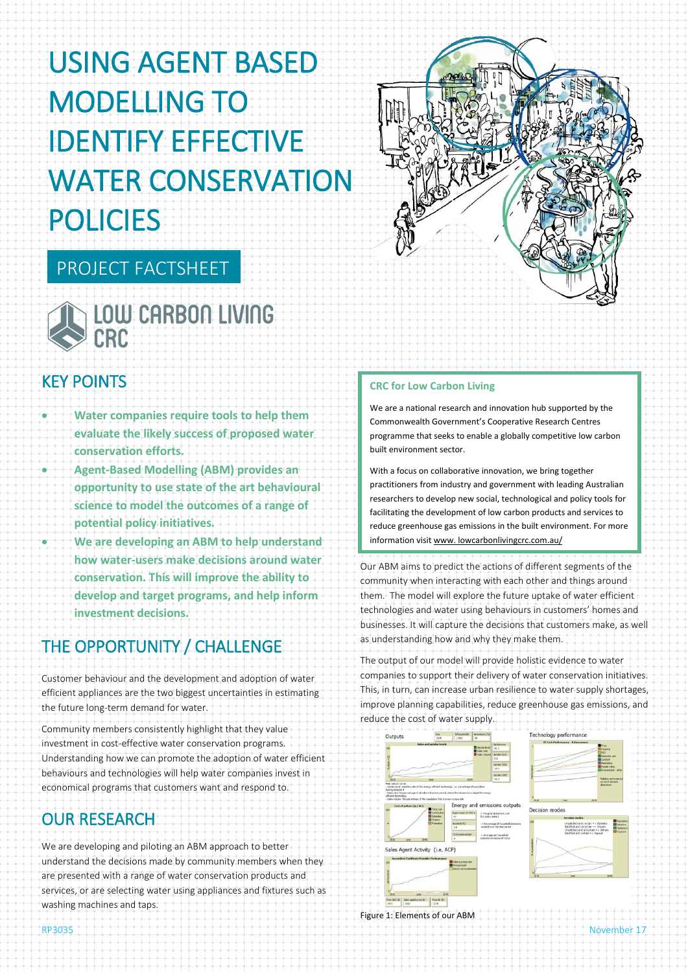# USING AGENT BASED MODELLING TO IDENTIFY EFFECTIVE WATER CONSERVATION POLICIES

# PROJECT FACTSHEET



# KEY POINTS

- **Water companies require tools to help them evaluate the likely success of proposed water conservation efforts.**
- **Agent-Based Modelling (ABM) provides an opportunity to use state of the art behavioural science to model the outcomes of a range of potential policy initiatives.**
- **We are developing an ABM to help understand how water-users make decisions around water conservation. This will improve the ability to develop and target programs, and help inform investment decisions.**

# THE OPPORTUNITY / CHALLENGE

Customer behaviour and the development and adoption of water efficient appliances are the two biggest uncertainties in estimating the future long-term demand for water.

Community members consistently highlight that they value investment in cost-effective water conservation programs. Understanding how we can promote the adoption of water efficient behaviours and technologies will help water companies invest in economical programs that customers want and respond to.

# OUR RESEARCH

We are developing and piloting an ABM approach to better understand the decisions made by community members when they are presented with a range of water conservation products and services, or are selecting water using appliances and fixtures such as washing machines and taps.



### **CRC for Low Carbon Living**

We are a national research and innovation hub supported by the Commonwealth Government's Cooperative Research Centres programme that seeks to enable a globally competitive low carbon built environment sector.

With a focus on collaborative innovation, we bring together practitioners from industry and government with leading Australian researchers to develop new social, technological and policy tools for facilitating the development of low carbon products and services to reduce greenhouse gas emissions in the built environment. For more information visit www. lowcarbonlivingcrc.com.au/

Our ABM aims to predict the actions of different segments of the community when interacting with each other and things around them. The model will explore the future uptake of water efficient technologies and water using behaviours in customers' homes and businesses. It will capture the decisions that customers make, as well as understanding how and why they make them.

The output of our model will provide holistic evidence to water companies to support their delivery of water conservation initiatives. This, in turn, can increase urban resilience to water supply shortages, improve planning capabilities, reduce greenhouse gas emissions, and reduce the cost of water supply.



Figure 1: Elements of our ABM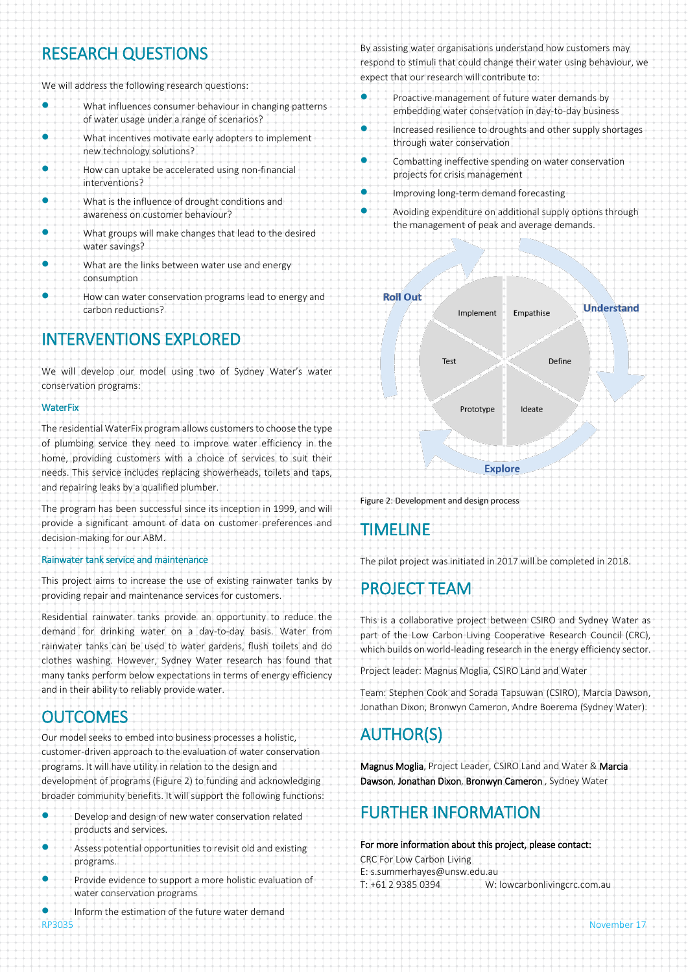## RESEARCH QUESTIONS

We will address the following research questions:

| What influences consumer behaviour in changing patterns<br>of water usage under a range of scenarios? |
|-------------------------------------------------------------------------------------------------------|
| What incentives motivate early adopters to implement<br>new technology solutions?                     |
| How can uptake be accelerated using non-financial<br>interventions?                                   |
| What is the influence of drought conditions and<br>awareness on customer behaviour?                   |
| What groups will make changes that lead to the desired<br>water savings?                              |
| What are the links between water use and energy<br>consumption                                        |
| How can water conservation programs lead to energy and<br>carbon reductions?                          |
|                                                                                                       |

# INTERVENTIONS EXPLORED

We will develop our model using two of Sydney Water's water conservation programs:

#### **WaterFix**

The residential WaterFix program allows customers to choose the type of plumbing service they need to improve water efficiency in the home, providing customers with a choice of services to suit their needs. This service includes replacing showerheads, toilets and taps, and repairing leaks by a qualified plumber.

The program has been successful since its inception in 1999, and will provide a significant amount of data on customer preferences and decision-making for our ABM.

#### Rainwater tank service and maintenance

This project aims to increase the use of existing rainwater tanks by providing repair and maintenance services for customers.

Residential rainwater tanks provide an opportunity to reduce the demand for drinking water on a day-to-day basis. Water from rainwater tanks can be used to water gardens, flush toilets and do clothes washing. However, Sydney Water research has found that many tanks perform below expectations in terms of energy efficiency and in their ability to reliably provide water.

### **OUTCOMES**

Our model seeks to embed into business processes a holistic, customer-driven approach to the evaluation of water conservation programs. It will have utility in relation to the design and development of programs (Figure 2) to funding and acknowledging broader community benefits. It will support the following functions:

- Develop and design of new water conservation related products and services.
- Assess potential opportunities to revisit old and existing programs.
- Provide evidence to support a more holistic evaluation of water conservation programs

Inform the estimation of the future water demand

By assisting water organisations understand how customers may respond to stimuli that could change their water using behaviour, we expect that our research will contribute to:

- Proactive management of future water demands by embedding water conservation in day-to-day business
- **Increased resilience to droughts and other supply shortages** through water conservation
- Combatting ineffective spending on water conservation projects for crisis management
	- Improving long-term demand forecasting
- Avoiding expenditure on additional supply options through the management of peak and average demands.



Figure 2: Development and design process

## TIMELINE

The pilot project was initiated in 2017 will be completed in 2018.

# PROJECT TEAM

This is a collaborative project between CSIRO and Sydney Water as part of the Low Carbon Living Cooperative Research Council (CRC), which builds on world-leading research in the energy efficiency sector.

Project leader: Magnus Moglia, CSIRO Land and Water

Team: Stephen Cook and Sorada Tapsuwan (CSIRO), Marcia Dawson, Jonathan Dixon, Bronwyn Cameron, Andre Boerema (Sydney Water).

# AUTHOR(S)

Magnus Moglia, Project Leader, CSIRO Land and Water & Marcia Dawson, Jonathan Dixon, Bronwyn Cameron , Sydney Water

### FURTHER INFORMATION

For more information about this project, please contact: CRC For Low Carbon Living E: s.summerhayes@unsw.edu.au T: +61 2 9385 0394 W: lowcarbonlivingcrc.com.au